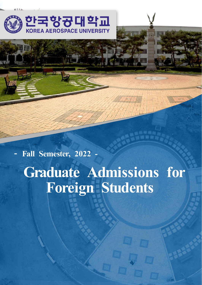

**- Fall Semester, 2022 - Graduate Admissions for Foreign Students**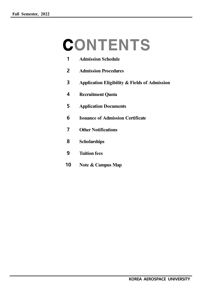# **CONTENTS**

| 1  | <b>Admission Schedule</b>                                |
|----|----------------------------------------------------------|
| 2  | <b>Admission Procedures</b>                              |
| 3  | <b>Application Eligibility &amp; Fields of Admission</b> |
| 4  | <b>Recruitment Quota</b>                                 |
| 5  | <b>Application Documents</b>                             |
| 6  | <b>Issuance of Admission Certificate</b>                 |
| 7  | <b>Other Notifications</b>                               |
| 8  | <b>Scholarships</b>                                      |
| 9  | <b>Tuition fees</b>                                      |
| 10 | Note & Campus Map                                        |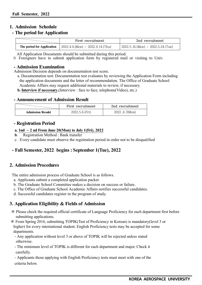# **1. Admission Schedule**

# **- The period for Application**

|                            | First recruitment                            | 2nd recruitment                      |  |
|----------------------------|----------------------------------------------|--------------------------------------|--|
| The period for Application | $1 \times 2022.4.4$ .(Mon) ~ 2022.4.14.(Thu) | $2022.5.16$ .(Mon) ~ 2022.5.24.(Tue) |  |

All Application Documents should be submitted during this period.

※ Foreigners have to submit application form by registered mail or visiting to Univ.

#### **- Admission Examination**

Admission Decision depends on documentation test score.

- a. Documentation test: Documentation test evaluates by reviewing the Application Form including the application documents and the letter of recommendation. The Office of Graduate School Academic Affairs may request additional materials to review, if necessary.
- **b. Interview if necessary.**(Interview : face to face, telephone(Video), etc.)

# **- Announcement of Admission Result**

|                         | First recruitment | 2nd recruitment |  |
|-------------------------|-------------------|-----------------|--|
| <b>Admission Resukt</b> | 2022.5.6. (Fri)   | 20226.7(Mon)    |  |

# **- Registration Period**

#### **a. 1nd ~ 2 nd From June 20(Mon) to July 1(Fri), 2022**

- **b**. Registration Method : Bank transfer
- c. Every candidate must observe the registration period in order not to be disqualified

# **- Fall Semester, 2022 begins : September 1(Tue), 2022**

# **2. Admission Procedures**

The entire admission process of Graduate School is as follows.

- a. Applicants submit a completed application packet.
- b. The Graduate School Committee makes a decision on success or failure.
- c. The Office of Graduate School Academic Affairs notifies successful candidates.
- d. Successful candidates register in the program of study.

# **3. Application Eligibility & Fields of Admission**

- ※ Please check the required official certificate of Language Proficiency for each department first before submitting applications.
- ※ From Spring 2016, submitting TOPIK(Test of Proficiency in Korean) is mandatory(level 3 or higher) for every international student. English Proficiency tests may be accepted for some departments.
	- Any application without level 3 or above of TOPIK will be rejected unless stated otherwise.
	- The minimum level of TOPIK is different for each department and major. Check it carefully.

 - Applicants those applying with English Proficiency tests must meet with one of the criteria below.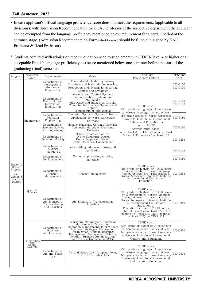- In case applicant's official language proficiency score does not meet the requirements, (applicable to all divisions): with Admission Recommendation by a KAU professor of the respective department, the applicant can be exempted from the language proficiency mentioned below requirement for a certain period at the entrance stage. (Admission Recommendation Form**(a fixed document)** should be filled out, signed by KAU Professor & Head Professor)
- \* Students admitted with admission recommendation need to supplement with TOPIK level 4 or higher or an acceptable English language proficiency test score mentioned below one semester before the start of the graduating (final) semester.

| Program                                                                  | Academic<br>Area                | Departments                                                        | Major                                                                                                                                                                                                                                                                                                                  | Language<br>telephone<br>Proficiency Criteria                                                                                                                                                                                                                                                                                                                                |                                      |
|--------------------------------------------------------------------------|---------------------------------|--------------------------------------------------------------------|------------------------------------------------------------------------------------------------------------------------------------------------------------------------------------------------------------------------------------------------------------------------------------------------------------------------|------------------------------------------------------------------------------------------------------------------------------------------------------------------------------------------------------------------------------------------------------------------------------------------------------------------------------------------------------------------------------|--------------------------------------|
|                                                                          |                                 | Department of<br>Aerospace &<br>Mechanical<br>Engineering          | Thermal and Fluids Engineering,<br>Structure and Materials Engineering,<br>Production and System Engineering,<br>Control and Dynamics                                                                                                                                                                                  |                                                                                                                                                                                                                                                                                                                                                                              | $+82-2-$<br>$300 - 0100$<br>300-0170 |
|                                                                          |                                 | Department of<br>Electronic and<br>Information<br>Engineering      | Avionics and Control Systems,<br>Communication Systems and<br>Multimedia<br>Microwave and Integrated Circuits<br>Computer Information Systems and<br>Network<br>Semiconductor and Display                                                                                                                              | TOPIK score<br>(3th grade or higher) or A certificate                                                                                                                                                                                                                                                                                                                        | 300-0120<br>300-0130                 |
|                                                                          | Engineering                     | Department of<br>Computer<br>Engineering                           | Computer Systems, System Software,<br>Application Software, Aerospace<br>Software                                                                                                                                                                                                                                      | of Korean language fluency at least<br>4rd grade issued at Korea Aerospace<br>University Institute of international<br>Culture and Education or                                                                                                                                                                                                                              | 300-0180                             |
|                                                                          |                                 | Department of<br>Materials Science<br>and Engineering              | Metallic Materials, Ceramic Materials,<br>Composite Materials, Electronic<br>Materials                                                                                                                                                                                                                                 | one of TOEFL<br>score(Internet-based)<br>of at least 83, IELTS score of at least                                                                                                                                                                                                                                                                                             | 300-0160                             |
|                                                                          |                                 | Department of<br>Smart Air Mobility                                | Drone Dynamics Control,<br>Drone Structural Design,<br>Drone Propulsion System.<br>Drone Operation Management,                                                                                                                                                                                                         | 5.5 or TEPS score of at least 579                                                                                                                                                                                                                                                                                                                                            | 300-0255                             |
|                                                                          |                                 | Department of<br>Artificial<br>Intelligence                        | AI modeling, AI system design, AI<br>application                                                                                                                                                                                                                                                                       |                                                                                                                                                                                                                                                                                                                                                                              | 300-0130                             |
| Master's<br>Degree<br>Program<br>Joint<br>Master &<br>Doctor's<br>Degree |                                 | Department of<br>Semiconductors                                    | Elements, processes, circuits,<br>materials.                                                                                                                                                                                                                                                                           |                                                                                                                                                                                                                                                                                                                                                                              | 300-0180                             |
|                                                                          |                                 | Department of<br>Aviation<br>Management                            | Aviation Management                                                                                                                                                                                                                                                                                                    | TOPIK score<br>(4th grade or higher) or TOPIK score<br>or A certificate of Korean language<br>fluency at least 5rd grade issued at<br>Korea Aerospace University Institute<br>of international Culture and<br>Education.                                                                                                                                                     | $300 - 0255$                         |
|                                                                          | Natural<br>Science              | Department of<br>Air Transport,<br>Transportation<br>and Logistics | Air Transport, Transportation,<br>Logistics                                                                                                                                                                                                                                                                            | TOPIK score<br>(3th grade or higher) or TOPIK score<br>or A certificate of Korean language<br>fluency at least 4rd grade issued at<br>Korea Aerospace University Institute<br>of international Culture and<br>Education or<br>Education or one of TOEFL score<br>(Internet-based) of at least 83, IELTS<br>score of at least 5.5, TEPS score of<br>at least 579(new TEPS 314 | 300-0340                             |
|                                                                          |                                 | Department of<br><b>Business</b><br>Administration                 | Marketing Management, Financial<br>Management, Accounting,<br>Operation Management, Accounting,<br>Operation Management, International<br>Dissiness, Strategies Management,<br>Management Science,<br>Aviation Business Administration,<br>International Management Cience,<br>Aviatio<br>Information Management (MIS) | TOPIK score<br>(3th grade or higher)or A certificate<br>of Korean language fluency at least<br>4rd grade issued at Korea Aerospace<br>University Institute of international<br>Culture and Education.                                                                                                                                                                        | 300-0350                             |
|                                                                          | Humanities<br>Social<br>Science | Department of<br>Air and Space<br>Law                              | Air and Space Law, Airspace Policy<br>Private Law. Public Law                                                                                                                                                                                                                                                          | TOPIK score<br>(3th grade or higher) or A certificate<br>of Korean language fluency at least<br>4rd grade issued at Korea Aerospace<br>University Institute of international<br>Culture and Education.                                                                                                                                                                       | 300-0315                             |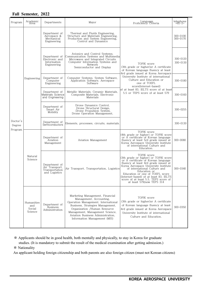| Program                       | Academic<br>Area                       | Departments                                                        | Maior                                                                                                                                                                                                                                                                         | Language<br>Proficiency Criteria                                                                                                                                                                                                                                                                                                                                             | $t^{el}$ elephone        |
|-------------------------------|----------------------------------------|--------------------------------------------------------------------|-------------------------------------------------------------------------------------------------------------------------------------------------------------------------------------------------------------------------------------------------------------------------------|------------------------------------------------------------------------------------------------------------------------------------------------------------------------------------------------------------------------------------------------------------------------------------------------------------------------------------------------------------------------------|--------------------------|
|                               |                                        | Department of<br>Aerospace &<br>Mechanical<br>Engineering          | Thermal and Fluids Engineering,<br>Structure and Materials Engineering,<br>Production and System Engineering,<br>Control and Dynamics                                                                                                                                         |                                                                                                                                                                                                                                                                                                                                                                              | $300 - 0100$<br>300-0170 |
|                               | Engineering                            | Department of<br>Electronic and<br>Information<br>Engineering      | Avionics and Control Systems,<br>Communication Systems and Multimedia<br>Microwave and Integrated Circuits<br>Computer Information Systems and<br>Network<br>Semiconductor and Display                                                                                        | TOPIK score<br>(3th grade or higher) or A certificate<br>of Korean language fluency at least                                                                                                                                                                                                                                                                                 | 300-0120<br>$300 - 0130$ |
|                               |                                        | Department of<br>Computer<br>Engineering                           | Computer Systems, System Software,<br>Application Software, Aerospace<br>Software                                                                                                                                                                                             | 4rd grade issued at Korea Aerospace<br>University Institute of international<br>Culture and Education or<br>one of TOEFL<br>score(Internet-based)                                                                                                                                                                                                                            | 300-0180                 |
|                               |                                        | Department of<br>Materials Science<br>and Engineering              | Metallic Materials, Ceramic Materials,<br>Composite Materials, Electronic<br>Materials                                                                                                                                                                                        | of at least 83, IELTS score of at least<br>5.5 or TEPS score of at least 579                                                                                                                                                                                                                                                                                                 | 300-0160                 |
| Doctor's<br>Degree<br>Program |                                        | Department of<br>Smart Air<br>Mobility                             | Drone Dynamics Control,<br>Drone Structural Design,<br>Drone Propulsion System,<br>Drone Operation Management,                                                                                                                                                                |                                                                                                                                                                                                                                                                                                                                                                              | 300-0255                 |
|                               |                                        | Department of<br>Semiconductors                                    | Elements, processes, circuits, materials.                                                                                                                                                                                                                                     |                                                                                                                                                                                                                                                                                                                                                                              | 300-0130                 |
|                               |                                        | Department of<br>Aviation<br>Management                            | Aviation Management                                                                                                                                                                                                                                                           | TOPIK score<br>(4th grade or higher) or TOPIK score<br>or A certificate of Korean language<br>fluency at least 5rd grade issued at<br>Korea Aerospace University Institute<br>of international Culture and<br>Education.                                                                                                                                                     | 300-0080                 |
|                               | Natural<br>Science                     | Department of<br>Air Transport,<br>Transportation<br>and Logistics | Air Transport. Transportation. Logistics                                                                                                                                                                                                                                      | TOPIK score<br>(3th grade or higher) or TOPIK score<br>or A certificate of Korean language<br>fluency at least 4rd grade issued at<br>Korea Aerospace University Institute<br>of international Culture and<br>Education or<br>Education or one of TOEFL score<br>(Internet-based) of at least 83, IELTS<br>score of at least 5.5, TEPS score of<br>at least 579(new TEPS 314 | 300-0340                 |
|                               | Humanities<br>and<br>Social<br>Science | Department of<br>Business<br>Administration                        | Marketing Management, Financial<br>Management, Accounting,<br>Operation Management, International<br>Business, Strategies Management,<br>Organization /Human Resource<br>Management, Management Science,<br>Aviation Business Administration,<br>Information Management (MIS) | TOPIK score<br>(3th grade or higher) or A certificate<br>of Korean language fluency at least<br>4rd grade issued at Korea Aerospace<br>University Institute of international<br>Culture and Education.                                                                                                                                                                       | $300 - 0350$             |

※ Applicants should be in good health, both mentally and physically, to stay in Korea for graduate

studies. (It is mandatory to submit the result of the medical examination after getting admission.)

※ Nationality

An applicant holding foreign citizenship and both parents are also foreign citizen (must not Korean citizens)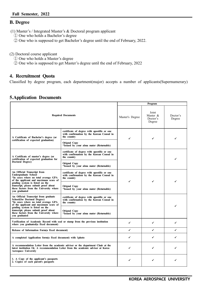# **B. Degree**

(1) Master's / Integrated Master's & Doctoral program applicant

- ① One who holds a Bachelor's degree
- ② One who is supposed to get Bachelor's degree until the end of February, 2022.

(2) Doctoral course applicant

- ① One who holds a Master's degree
- ② One who is supposed to get Master's degree until the end of February, 2022

# **4. Recruitment Quota**

Classified by degree program, each department(major) accepts a number of applicants(Supernumerary)

# **5.Application Documents**

|                                                                                                                                                                                                      |                                                                                                         |                                         | Program            |   |
|------------------------------------------------------------------------------------------------------------------------------------------------------------------------------------------------------|---------------------------------------------------------------------------------------------------------|-----------------------------------------|--------------------|---|
| <b>Required Documents</b>                                                                                                                                                                            | Master's Degree                                                                                         | Joint<br>Master &<br>Doctor's<br>Degree | Doctor's<br>Degree |   |
| A Certificate of Bachelor's degree (or                                                                                                                                                               | certificate of degree with apostille or one<br>with confirmation by the Korean Consul in<br>the country | ✓                                       | ✓                  |   |
| certification of expected graduation)                                                                                                                                                                | <b>Orignal Copy</b><br>*Issued by your alma mater (Returnable)                                          |                                         |                    |   |
| A Certificate of master's degree (or<br>certification of expected graduation for                                                                                                                     | certificate of degree with apostille or one<br>with confirmation by the Korean Consul in<br>the country |                                         |                    |   |
| Doctoral Degree)                                                                                                                                                                                     | <b>Orignal Copy</b><br>*Issued by your alma mater (Returnable)                                          |                                         |                    |   |
| An Official Transcript from<br>Undergraduate School<br>*In cases where no total average GPA<br>of the applicant and maximum score of                                                                 | certificate of degree with apostille or one<br>with confirmation by the Korean Consul in<br>the country | ✓                                       | ✔                  |   |
| grading system is listed on the<br>transcript, please submit proof about<br>these factors from the University where<br>vou graduated                                                                 | <b>Orignal Copy</b><br>*Issued by your alma mater (Returnable)                                          |                                         |                    |   |
| An Official Transcript from graduate<br><b>School(for Doctoral Degree)</b><br>*In cases where no total average GPA<br>of the applicant and maximum score of                                          | certificate of degree with apostille or one<br>with confirmation by the Korean Consul in<br>the country |                                         |                    | ✓ |
| grading system is listed on the<br>transcript, please submit proof about<br>these factors from the University where<br>you graduated                                                                 | <b>Orignal Copy</b><br>*Issued by your alma mater (Returnable)                                          |                                         |                    |   |
| Verification of Academic Record with seal or stamp from the previous institution<br>where you graduated(a fixed document)                                                                            | ✓                                                                                                       | ✓                                       | ✔                  |   |
| Release of Information Form(a fixed document)                                                                                                                                                        |                                                                                                         | ✔                                       | ✓                  | ✔ |
| A completed Application form(a fixed document) with 1photo                                                                                                                                           | ✔                                                                                                       | ✔                                       | ✔                  |   |
| A recommendation Letter from the academic adviser or the department Chair at the<br>latest institution Or, A recommendation Letter from the academic adviser at Korea<br><b>Aerospace University</b> |                                                                                                         | ✔                                       | ✓                  | ✔ |
| 1. A Copy of the applicant's passports<br>2. Copies of each parent's passports                                                                                                                       |                                                                                                         |                                         |                    |   |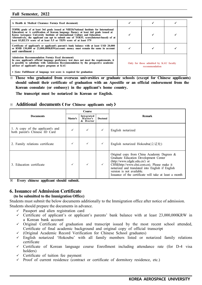| A Health & Medical Clearance Form(a fixed document)                                                                                                                                                                                                                                                                                                                                                                              |                                                          |  |
|----------------------------------------------------------------------------------------------------------------------------------------------------------------------------------------------------------------------------------------------------------------------------------------------------------------------------------------------------------------------------------------------------------------------------------|----------------------------------------------------------|--|
| TOPIK grade of at least 3rd grade issued at NIIED(National Institute for International<br>Education) or A certification of Korean language fluency at least 4rd grade issued at<br>Korea Aerospace University Institute of international Culture and Education<br>Alternatively, the applicant can opt to submit one of TOEFL score(Internet-based) of at<br>least 83. IELTS score of at least 5.5 or TEPS score of at least 579 |                                                          |  |
| Certificate of applicant's or applicant's parents's bank balance with at least USD 20,000<br>or RMB 130,000 or 23,000,000 KRW (account: money must remain the same in account<br>until enrollment)                                                                                                                                                                                                                               |                                                          |  |
| Admission Recommendation Form(a fixed document)<br>In case applicant's official language proficiency test does not meet the requirements, it<br>is possible to substitute with Admission Recommendation by the prospective academic<br>adviser of applicant's degree program at KAU                                                                                                                                              | Only for those admitted by KAU faculty<br>recommendation |  |
| * Note: Fulfillment of language test score is required for graduation                                                                                                                                                                                                                                                                                                                                                            |                                                          |  |

※ **Those who graduated from overseas universities or graduate schools (except for Chinese applicants) should submit their certificate of graduation with an Apostille or an official endorsement from the Korean consulate (or embassy) in the applicant's home country.**

 **The transcript must be notarized in Korean or English.**

|                                                                   | Course                                                                   |   |              |                                                                                                                                                                                                                                                                                                                  |  |
|-------------------------------------------------------------------|--------------------------------------------------------------------------|---|--------------|------------------------------------------------------------------------------------------------------------------------------------------------------------------------------------------------------------------------------------------------------------------------------------------------------------------|--|
| <b>Documents</b>                                                  | Integrated<br><b>Doctoral</b><br><b>Master's</b><br>Master's<br>& Doctor |   |              | <b>Remark</b>                                                                                                                                                                                                                                                                                                    |  |
| 1. A copy of the applicant's and<br>both parent's Chinese ID Card | ✓                                                                        | ✓ | $\checkmark$ | English notarized                                                                                                                                                                                                                                                                                                |  |
| 2. Family relations certificate                                   | ✓                                                                        | ✓ | $\checkmark$ | English notarized Hokoubu(公证处)                                                                                                                                                                                                                                                                                   |  |
| 3. Education certificate                                          | ✓                                                                        | ✓ | $\checkmark$ | Original copy from China Academic Degrees &<br>Graduate Education Development Center<br>(http://www.cdgdc.edu.cn/) or<br>CHSI(http://www.chsi.com.cn). Please make it<br>notarized and translated into English if English<br>version is not available.<br>Issuance of the certificate will take at least a month |  |

**※ Every chinese applicant should submit.**

# **6. Issuance of Admission Certificate**

#### **(to be submitted to the Immigration Office)**

Students must submit the below documents additionally to the Immigration office after notice of admission. Students should prepare the documents in advance.

- $\checkmark$  Passport and alien registration card
- $\checkmark$  Certificate of applicant's or applicant's parents' bank balance with at least 23,000,000KRW in a Korean bank account
- $\checkmark$  Original Certificate of graduation and transcript issued by the most recent school attended, Certificate of final academic background and original copy of official transcript
- ü (Original Academic Record Verification for Chinese School graduates)
- $\checkmark$  English notarized 'Hokoubu' with all family members listed or notarized family relations certificate
- $\checkmark$  Certificate of Korean language course Enrollment including attendance rate (for D-4 visa holders)
- Certificate of tuition fee payment
- $\checkmark$  Proof of current residence (contract or certificate of dormitory residence, etc.)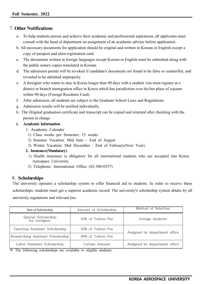# 7. **Other Notifications**

- To help students pursue and achieve their academic and professional aspirations, all applicants must consult with the head of department on assignment of an academic advisor before application.
- b. All necessary documents for application should be original and written in Korean or English except a copy of passport and alien registration card.
- **c.** The documents written in foreign languages except Korean or English must be submitted along with the public notary copies translated in Korean.
- d. The admission permit will be revoked if candidate's documents are found to be false or counterfeit, and revealed to be admitted improperly.
- e. A foreigner who wants to stay in Korea longer than 90 days with a student visa must register at a district or branch immigration office in Korea which has jurisdiction over his/her place of sojourn within 90 days (Foreign Residents Card).
- f. After admission, all students are subject to the Graduate School Laws and Regulations.
- g. Admission results will be notified individually.
- h. The Original graduation certificate and transcript can be copied and returned after checking with the person in charge

#### **i. Academic Information**

- 1. Academic Calendar
- 1) Class weeks per Semester: 15 weeks
- 2) Summer Vacation: Mid June  $\sim$  End of August
- 3) Winter Vacation: Mid December End of February(Next Year)
- **2. Insurance(Mandatory)**
	- 1) Health insurance is obligatory for all international students who are accepted into Korea Aerospace University
	- 2) Telephone: International Office (02-300-0357)

# 8. **Scholarships**

The university operates a scholarship system to offer financial aid to students. In order to receive these scholarships, students must get a superior academic record. The university's scholarship system abides by all university regulations and relevant law.

| Sort of Scholarship                  | Amount of Scholarship                  | Method of Selection           |  |
|--------------------------------------|----------------------------------------|-------------------------------|--|
| Special Scholarship<br>for foreigner | 50% of Tuition Fee<br>foreign students |                               |  |
| Teaching Assistant Scholarship       | 20% of Tuition Fee                     | Assigned by department office |  |
| Researching Assistant Scholarship    | 40% of Tuition Fee                     |                               |  |
| Labor Assistant Scholarship          | Certain Amount                         | Assigned by department office |  |

※ The following scholarships are available to eligible students: